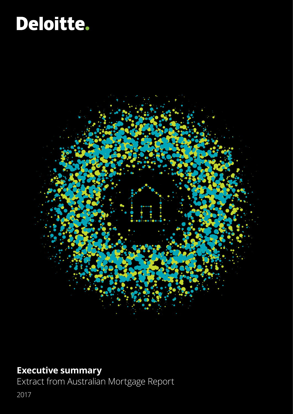# Deloitte.



### **Executive summary**

Extract from Australian Mortgage Report

2017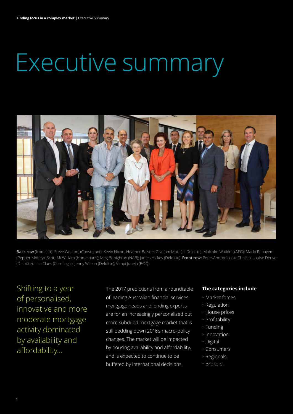# Executive summary



**Back row** (from left): Steve Weston, (Consultant); Kevin Nixon, Heather Baister, Graham Mott (all Deloitte); Malcolm Watkins (AFG); Mario Rehayem (Pepper Money); Scott McWilliam (Homeloans); Meg Bonighton (NAB); James Hickey (Deloitte). **Front row:** Peter Andronicos (eChoice); Louise Denver (Deloitte); Lisa Claes (CoreLogic); Jenny Wilson (Deloitte); Vimpi Juneja (BOQ)

Shifting to a year of personalised, innovative and more moderate mortgage activity dominated by availability and affordability…

The 2017 predictions from a roundtable of leading Australian financial services mortgage heads and lending experts are for an increasingly personalised but more subdued mortgage market that is still bedding down 2016's macro‑policy changes. The market will be impacted by housing availability and affordability, and is expected to continue to be buffeted by international decisions.

#### **The categories include**

- Market forces
- Regulation
- House prices
- Profitability
- Funding
- Innovation
- Digital
- Consumers
- Regionals
- Brokers.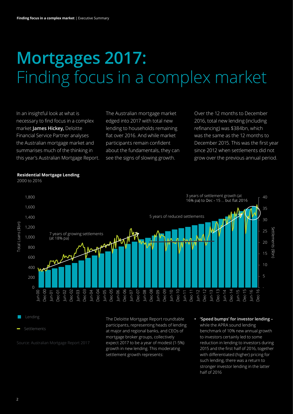## **Mortgages 2017:**  Finding focus in a complex market

In an insightful look at what is necessary to find focus in a complex market **James Hickey,** Deloitte Financial Service Partner analyses the Australian mortgage market and summarises much of the thinking in this year's Australian Mortgage Report. The Australian mortgage market edged into 2017 with total new lending to households remaining flat over 2016. And while market participants remain confident about the fundamentals, they can see the signs of slowing growth.

Over the 12 months to December 2016, total new lending (including refinancing) was \$384bn, which was the same as the 12 months to December 2015. This was the first year since 2012 when settlements did not grow over the previous annual period.



**Residential Mortgage Lending**

2000 to 2016

Lending

Settlements

Source: Australian Mortgage Report 2017

The Deloitte Mortgage Report roundtable participants, representing heads of lending at major and regional banks, and CEOs of mortgage broker groups, collectively expect 2017 to be a year of modest (1-5%) growth in new lending. This moderating settlement growth represents:

**• 'Speed bumps' for investor lending –**  while the APRA sound lending benchmark of 10% new annual growth to investors certainly led to some reduction in lending to investors during 2015 and the first half of 2016, together with differentiated (higher) pricing for such lending, there was a return to stronger investor lending in the latter half of 2016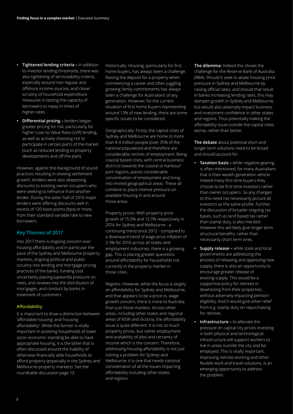- **• Tightened lending criteria –** in addition to investor lending thresholds, there was also tightening of serviceability criteria, especially around non regular and offshore income sources, and closer scrutiny of household expenditure measures in testing the capacity of borrowers to repay in times of higher rates
- **• Differential pricing –** lenders began greater pricing for risk, particularly for higher Loan to Value Ratio (LVR) lending, as well as actively choosing not to participate in certain parts of the market (such as reduced lending to property developments and off the plan).

However, against this background of sound practices resulting in slowing settlement growth, lenders were also deepening discounts to existing owner occupiers who were seeking to refinance from another lender. During the latter half of 2016 major lenders were offering discounts well in excess of 120 basis points (bps) or more, from their standard variable rate to new borrowers.

#### **Key Themes of 2017**

Into 2017 there is ongoing concern over housing affordability and in particular the pace of the Sydney and Melbourne property markets, ongoing political and public scrutiny into lending and mortgage pricing practices of the banks, funding cost uncertainty placing (upwards) pressure on rates, and reviews into the distribution of mortgages, and conduct by banks in treatment of customers.

#### **Affordability**

It is important to draw a distinction between 'affordable housing' and 'housing affordability'. While the former is vitally important in assisting households of lower socio-economic standing be able to have appropriate housing, it is the latter that is often discussed around the inability of otherwise financially able households to afford property (especially in the Sydney and Melbourne property markets). See the roundtable discussion page 13.

Historically: Housing, particularly for first home buyers, has always been a challenge. Raising the deposit for a property when commencing a career and often juggling growing family commitments has always been a challenge for Australians of any generation. However, for the current situation of first home buyers representing around 13% of new lending, there are some specific issues to be considered.

Geographically: Firstly, the capital cities of Sydney and Melbourne are home to more than 8.4 million people (over 35% of the national population) and therefore are considerable centres of employment. Being coastal based cities, with central business districts towards the coastal or harbour/ port regions, places considerable concentration of employment and living into limited geographical areas. These all combine to place intense pressure on available housing in and around those areas.

Property prices: With property price growth of 15.5% and 13.7% respectively in 2016 for Sydney and Melbourne - a continuing trend since 2012 - compared to a downward trend of wage price inflation of 2-3% for 2016 across all states and employment industries, there is a growing gap. This is placing greater questions around affordability for households not currently in the property market in those cities.

Regions: However, while the focus is largely on affordability for Sydney and Melbourne, and that appears to be a price vs. wage growth concern, there is more to Australia than just those markets. Across other areas, including other states and regional areas of NSW and Victoria, the affordability issue is quite different. It is not so much property prices, but rather employment and availability of jobs and certainty of income which is the concern. Therefore, addressing housing affordability is not just solving a problem for Sydney and Melbourne, it is one that needs national consideration of all the issues impacting affordability including other states and regions.

**The dilemma:** Indeed this shows the challenge for the Reserve Bank of Australia (RBA). Should it seek to abate housing price pressure in Sydney and Melbourne by raising official rates, and should that result in banks increasing lending rates, this may dampen growth in Sydney and Melbourne, but would also adversely impact business and investment confidence in other states and regions. Thus potentially making the affordability issue outside the capital cities worse, rather than better.

**The debate** about potential short and longer term solutions need to be broad and should account for:

- **• Taxation basis** while negative gearing is often mentioned, for many Australians that is their wealth generation vehicle. Indeed many first time buyers they choose to be first time investors rather than owner occupiers. So any changes to this need not necessarily picture all investors as the same profile. Further, the discussion of broader ongoing tax bases, such as land based tax rather than stamp duty, is also merited. However this will likely give longer term structural benefits, rather than necessarily short term ones.
- **• Supply release –** while state and local governments are addressing the process of releasing and approving new supply, there is also an opportunity to encourage greater release of existing supply. This would be a supportive policy for retirees in downsizing from their properties, without adversely impacting pension eligibility. And it would give other relief from e.g. stamp duty on repurchasing for retirees.
- **• Infrastructure –** to alleviate the pressure on capital city prices investing in both physical and technological infrastructure will support workers to live in areas outside the city and be employed. This is vitally important. Improving remote working and other flexible work and travel solutions, is an emerging opportunity to address the problem.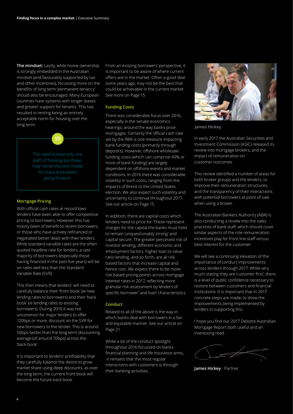**The mindset:** Lastly, while home ownership is strongly embedded in the Australian mindset (and favourably supported by tax and other incentives), focussing more on the benefits of long term 'permanent tenancy' should also be encouraged. Many European countries have systems with longer leases and greater support for tenants. This has resulted in renting being an entirely acceptable norm for housing over the long term.



#### **Mortgage Pricing**

With official cash rates at record lows lenders have been able to offer competitive pricing to borrowers. However, this has mostly been of benefit to recent borrowers, or those who have actively refinanced or negotiated better deals with their lenders. While standard variable rates are the often quoted headline rate for lenders, a vast majority of borrowers (especially those having financed in the past five years) will be on rates well less than the Standard Variable Rate (SVR).

This then means that lenders' will need to carefully balance their 'front book' (ie new lending rates to borrowers) and their 'back book' (ie lending rates to existing borrowers). During 2016 it was not uncommon for major lenders to offer 120bps or more, discount on the SVR for new borrowers to the lender. This is around 50bps better than the long term discounting average (of around 70bps) across the 'back book'.

It is important to lenders' profitability that they carefully balance the desire to grow market share using deep discounts, as over the long term, the current front book will become the future back book.

From an existing borrowers' perspective, it is important to be aware of where current offers are in the market. Often a good deal some years ago, may not be the best that could be achievable in the current market. See more on Page 15

#### **Funding Costs**

There was considerable focus over 2016, especially in the senate economics hearings, around the way banks price mortgages. Certainly the official cash rate set by the RBA is one measure impacting bank funding costs (primarily through deposits). However, offshore wholesale funding costs (which can comprise 40% or more of bank funding) are largely dependent on offshore events and market conditions. In 2016 there was considerable volatility in such costs, ranging from the impacts of Brexit to the United States election. We also expect such volatility and uncertainty to continue throughout 2017. See our article on Page 15

In addition, there are capital costs which lenders need to price for. These represent charges for the capital the banks must hold to remain 'unquestionably strong' and capital secure. The greater perceived risk of investor lending, different economic and employment factors, higher loan to value ratio lending, and so forth, are all risk based factors that increase capital and hence cost. We expect there to be more risk based pricing points across mortgage interest rates in 2017, reflecting more granular risk assessment by lenders of specific borrower' and loan' characteristics.

#### **Conduct**

Related to all of the above is the way in which banks deal with borrowers in a fair and equitable manner. See our article on Page 21

While a lot of the conduct spotlight throughout 2016 focussed on banks financial planning and life insurance arms, it remains that the most regular interactions with customers is through their banking activities.



**James Hickey**

In early 2017 the Australian Securities and Investment Commission (ASIC) released its review into mortgage brokers, and the impact of remuneration on customer outcomes.

This review identified a number of areas for both broker groups and the lenders, to improve their remuneration structures, and the transparency of their interactions with potential borrowers at point of sale when using a broker.

The Australian Bankers Authority (ABA) is also conducting a review into the sales practices of bank staff, which should cover similar aspects of the role remuneration incentives play for front line staff versus best interest for the customer.

We will see a continuing elevation of the importance of conduct improvements across lenders through 2017. While very much stating they are 'customer first', there is a level of public confidence necessary to restore between customers and financial institutions. It is important that in 2017 concrete steps are made, to show the improvements being implemented by lenders in supporting this.

I hope you find our 2017 Deloitte Australian Mortgage Report both useful and an interesting read.

**James Hickey** - Partner